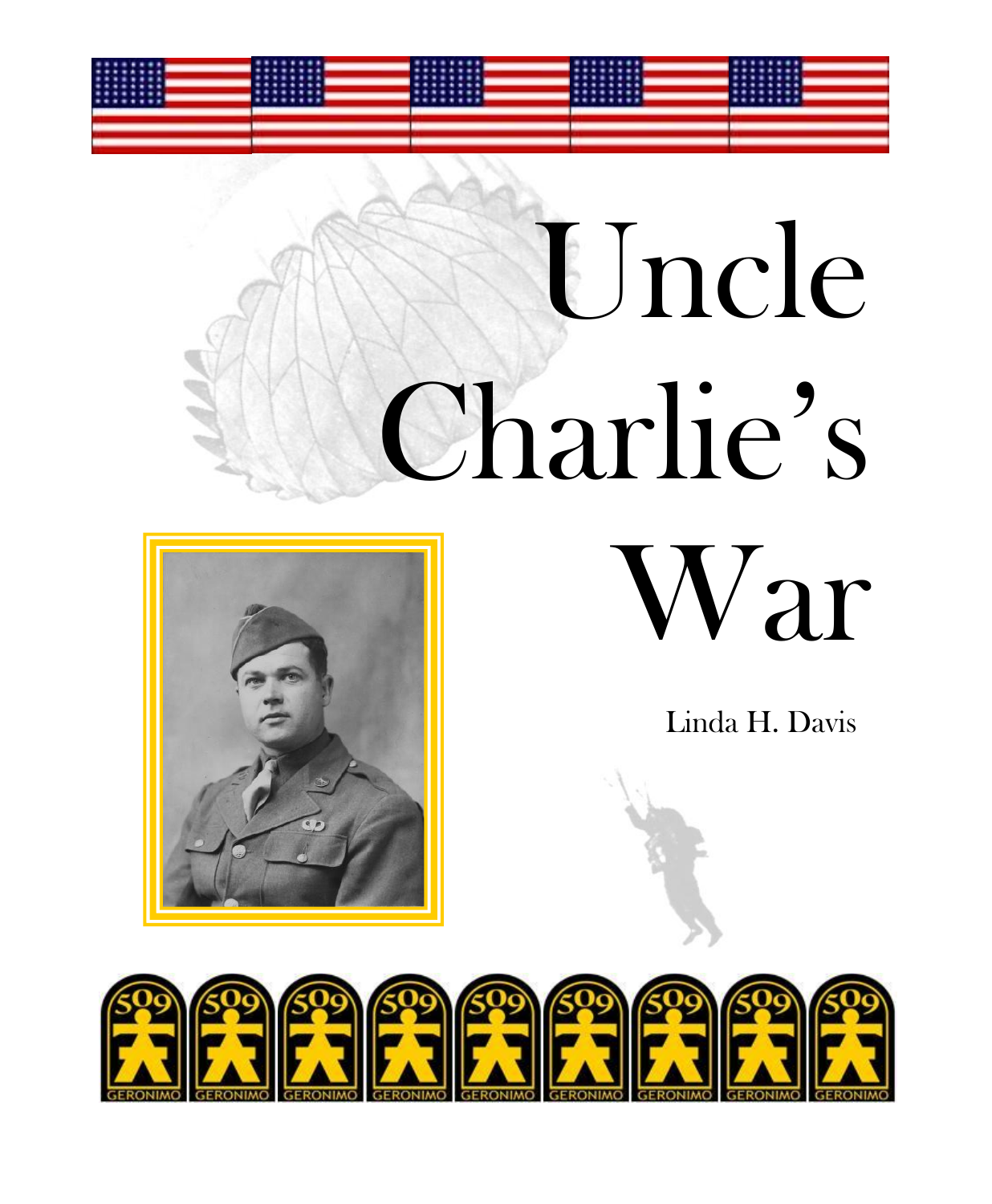# Uncle Charlie's War



### Linda H. Davis

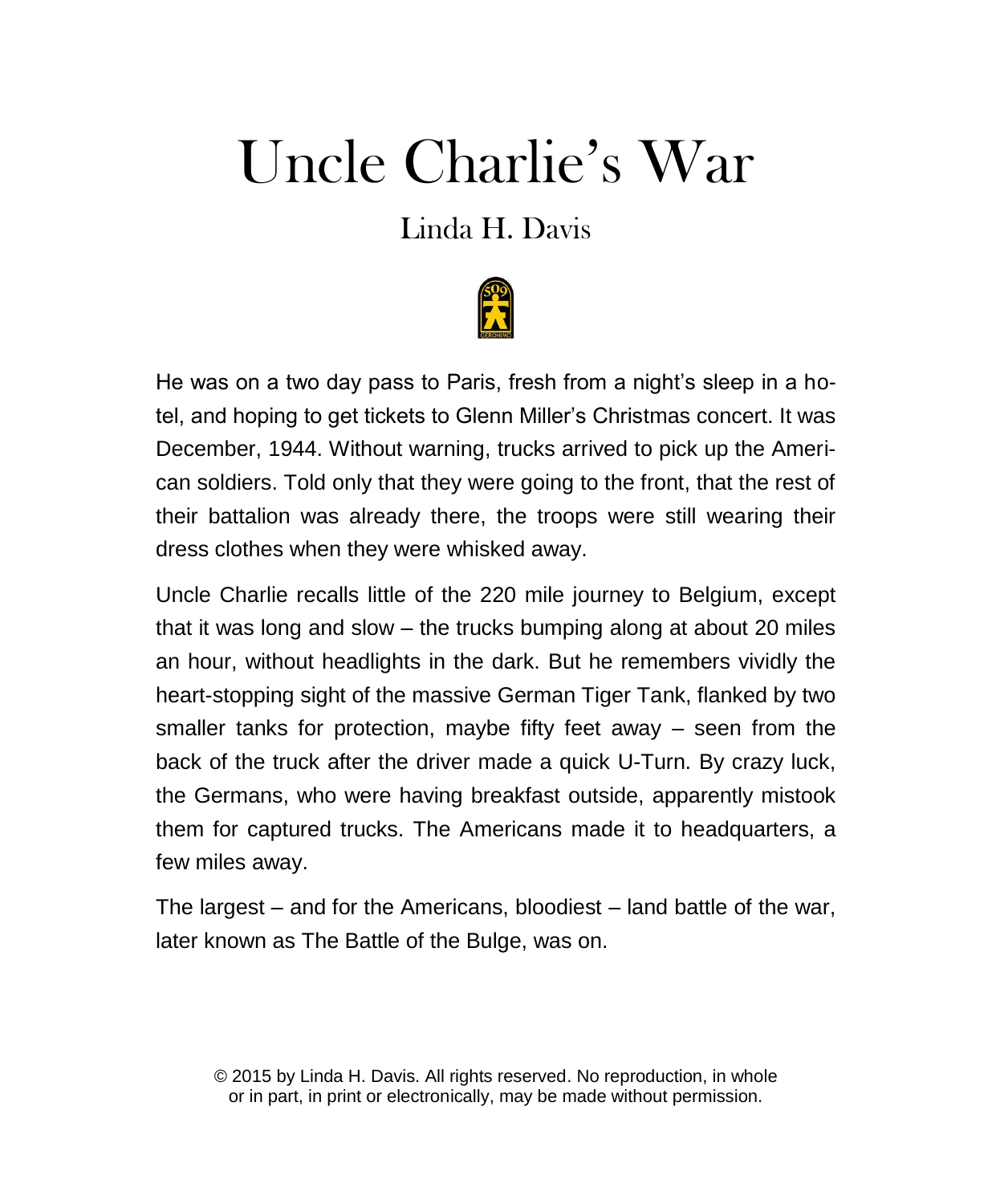## Uncle Charlie's War

## Linda H. Davis



He was on a two day pass to Paris, fresh from a night's sleep in a hotel, and hoping to get tickets to Glenn Miller's Christmas concert. It was December, 1944. Without warning, trucks arrived to pick up the American soldiers. Told only that they were going to the front, that the rest of their battalion was already there, the troops were still wearing their dress clothes when they were whisked away.

Uncle Charlie recalls little of the 220 mile journey to Belgium, except that it was long and slow – the trucks bumping along at about 20 miles an hour, without headlights in the dark. But he remembers vividly the heart-stopping sight of the massive German Tiger Tank, flanked by two smaller tanks for protection, maybe fifty feet away – seen from the back of the truck after the driver made a quick U-Turn. By crazy luck, the Germans, who were having breakfast outside, apparently mistook them for captured trucks. The Americans made it to headquarters, a few miles away.

The largest – and for the Americans, bloodiest – land battle of the war, later known as The Battle of the Bulge, was on.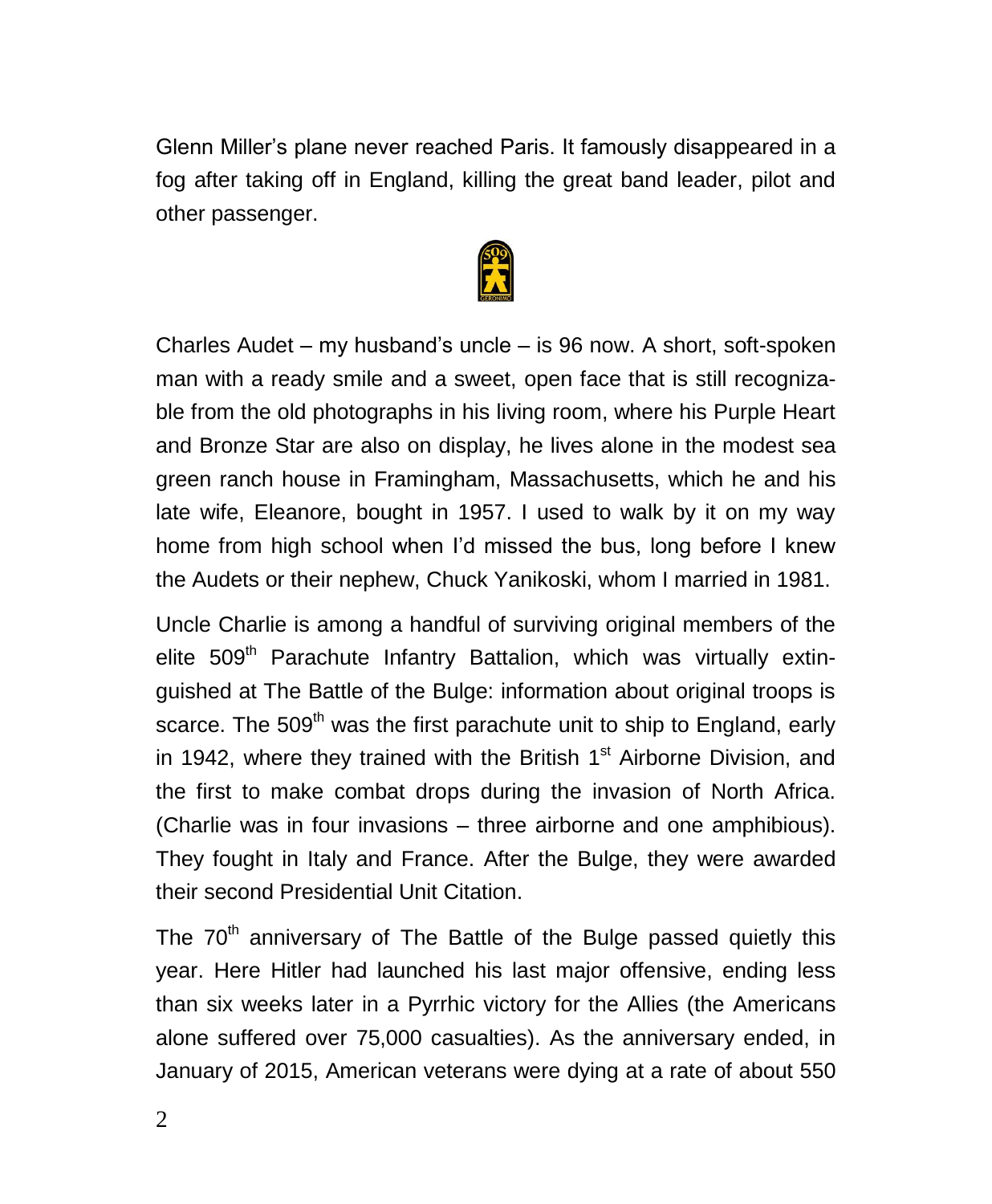Glenn Miller's plane never reached Paris. It famously disappeared in a fog after taking off in England, killing the great band leader, pilot and other passenger.



Charles Audet – my husband's uncle – is 96 now. A short, soft-spoken man with a ready smile and a sweet, open face that is still recognizable from the old photographs in his living room, where his Purple Heart and Bronze Star are also on display, he lives alone in the modest sea green ranch house in Framingham, Massachusetts, which he and his late wife, Eleanore, bought in 1957. I used to walk by it on my way home from high school when I'd missed the bus, long before I knew the Audets or their nephew, Chuck Yanikoski, whom I married in 1981.

Uncle Charlie is among a handful of surviving original members of the elite 509<sup>th</sup> Parachute Infantry Battalion, which was virtually extinguished at The Battle of the Bulge: information about original troops is scarce. The 509<sup>th</sup> was the first parachute unit to ship to England, early in 1942, where they trained with the British 1<sup>st</sup> Airborne Division, and the first to make combat drops during the invasion of North Africa. (Charlie was in four invasions – three airborne and one amphibious). They fought in Italy and France. After the Bulge, they were awarded their second Presidential Unit Citation.

The  $70<sup>th</sup>$  anniversary of The Battle of the Bulge passed quietly this year. Here Hitler had launched his last major offensive, ending less than six weeks later in a Pyrrhic victory for the Allies (the Americans alone suffered over 75,000 casualties). As the anniversary ended, in January of 2015, American veterans were dying at a rate of about 550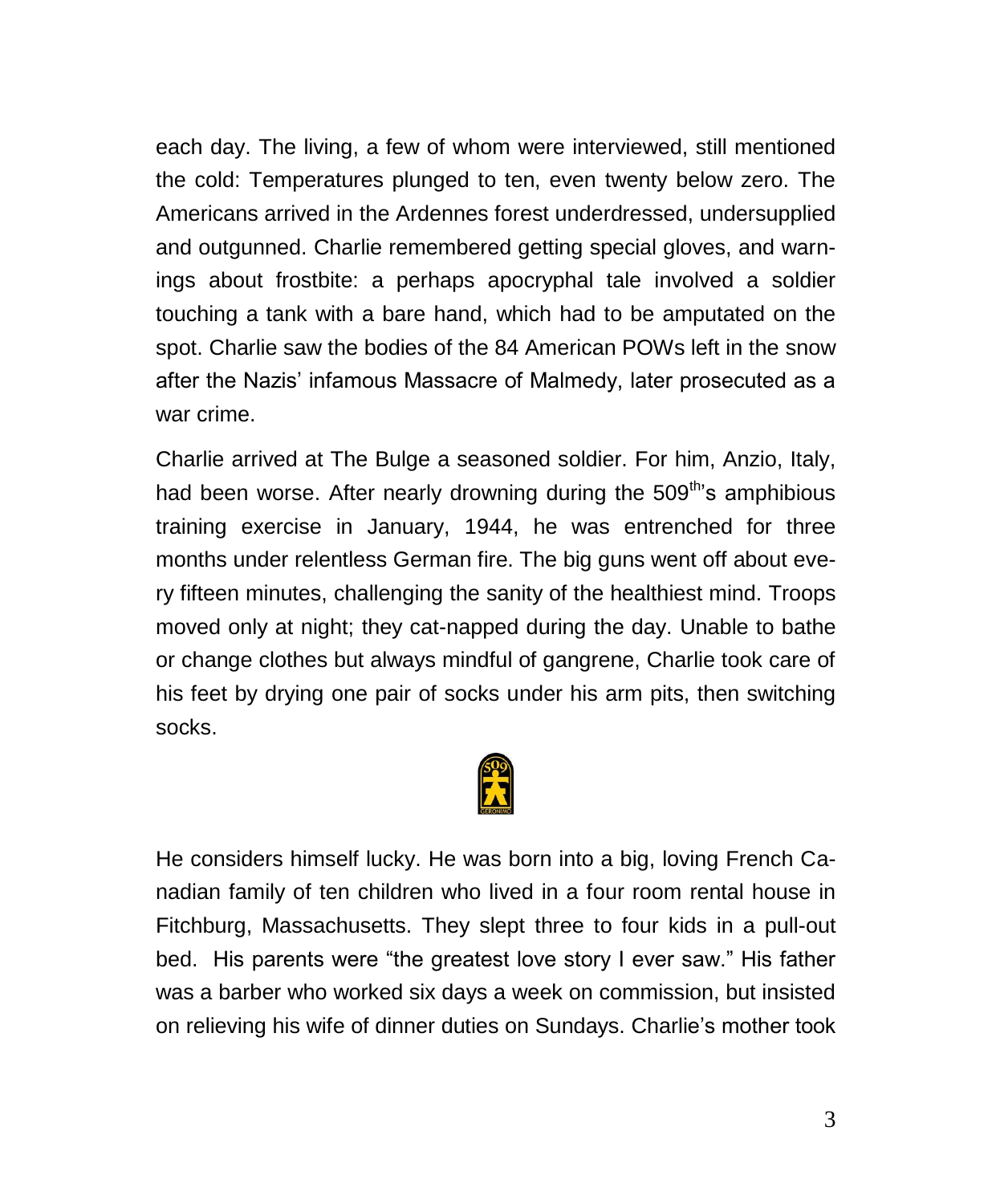each day. The living, a few of whom were interviewed, still mentioned the cold: Temperatures plunged to ten, even twenty below zero. The Americans arrived in the Ardennes forest underdressed, undersupplied and outgunned. Charlie remembered getting special gloves, and warnings about frostbite: a perhaps apocryphal tale involved a soldier touching a tank with a bare hand, which had to be amputated on the spot. Charlie saw the bodies of the 84 American POWs left in the snow after the Nazis' infamous Massacre of Malmedy, later prosecuted as a war crime.

Charlie arrived at The Bulge a seasoned soldier. For him, Anzio, Italy, had been worse. After nearly drowning during the  $509<sup>th</sup>$ 's amphibious training exercise in January, 1944, he was entrenched for three months under relentless German fire. The big guns went off about every fifteen minutes, challenging the sanity of the healthiest mind. Troops moved only at night; they cat-napped during the day. Unable to bathe or change clothes but always mindful of gangrene, Charlie took care of his feet by drying one pair of socks under his arm pits, then switching socks.



He considers himself lucky. He was born into a big, loving French Canadian family of ten children who lived in a four room rental house in Fitchburg, Massachusetts. They slept three to four kids in a pull-out bed. His parents were "the greatest love story I ever saw." His father was a barber who worked six days a week on commission, but insisted on relieving his wife of dinner duties on Sundays. Charlie's mother took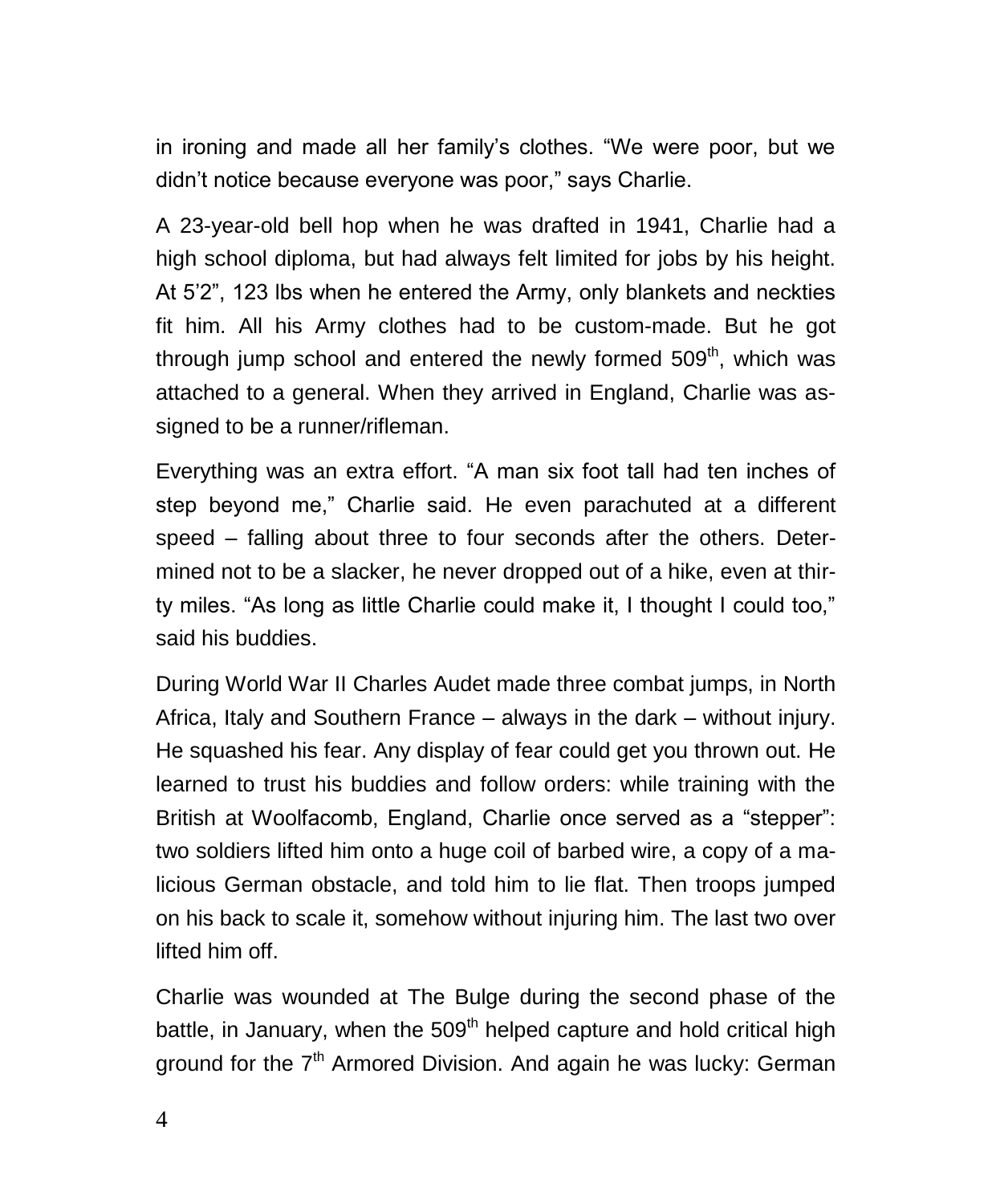in ironing and made all her family's clothes. "We were poor, but we didn't notice because everyone was poor," says Charlie.

A 23-year-old bell hop when he was drafted in 1941, Charlie had a high school diploma, but had always felt limited for jobs by his height. At 5'2", 123 lbs when he entered the Army, only blankets and neckties fit him. All his Army clothes had to be custom-made. But he got through jump school and entered the newly formed  $509<sup>th</sup>$ , which was attached to a general. When they arrived in England, Charlie was assigned to be a runner/rifleman.

Everything was an extra effort. "A man six foot tall had ten inches of step beyond me," Charlie said. He even parachuted at a different speed – falling about three to four seconds after the others. Determined not to be a slacker, he never dropped out of a hike, even at thirty miles. "As long as little Charlie could make it, I thought I could too," said his buddies.

During World War II Charles Audet made three combat jumps, in North Africa, Italy and Southern France – always in the dark – without injury. He squashed his fear. Any display of fear could get you thrown out. He learned to trust his buddies and follow orders: while training with the British at Woolfacomb, England, Charlie once served as a "stepper": two soldiers lifted him onto a huge coil of barbed wire, a copy of a malicious German obstacle, and told him to lie flat. Then troops jumped on his back to scale it, somehow without injuring him. The last two over lifted him off.

Charlie was wounded at The Bulge during the second phase of the battle, in January, when the  $509<sup>th</sup>$  helped capture and hold critical high ground for the  $7<sup>th</sup>$  Armored Division. And again he was lucky: German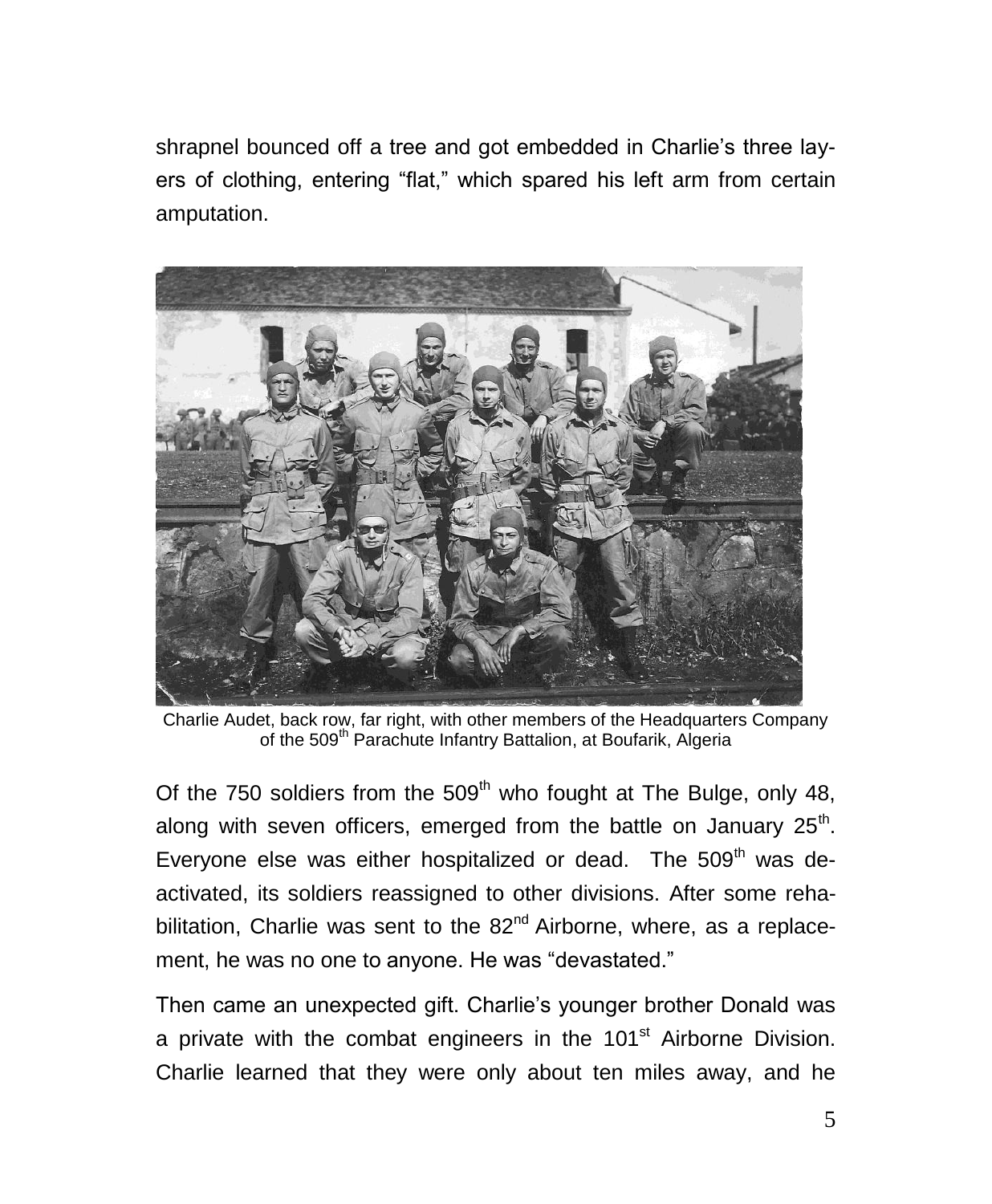shrapnel bounced off a tree and got embedded in Charlie's three layers of clothing, entering "flat," which spared his left arm from certain amputation.



Charlie Audet, back row, far right, with other members of the Headquarters Company of the 509<sup>th</sup> Parachute Infantry Battalion, at Boufarik, Algeria

Of the 750 soldiers from the  $509<sup>th</sup>$  who fought at The Bulge, only 48, along with seven officers, emerged from the battle on January  $25<sup>th</sup>$ . Everyone else was either hospitalized or dead. The  $509<sup>th</sup>$  was deactivated, its soldiers reassigned to other divisions. After some rehabilitation, Charlie was sent to the  $82<sup>nd</sup>$  Airborne, where, as a replacement, he was no one to anyone. He was "devastated."

Then came an unexpected gift. Charlie's younger brother Donald was a private with the combat engineers in the  $101<sup>st</sup>$  Airborne Division. Charlie learned that they were only about ten miles away, and he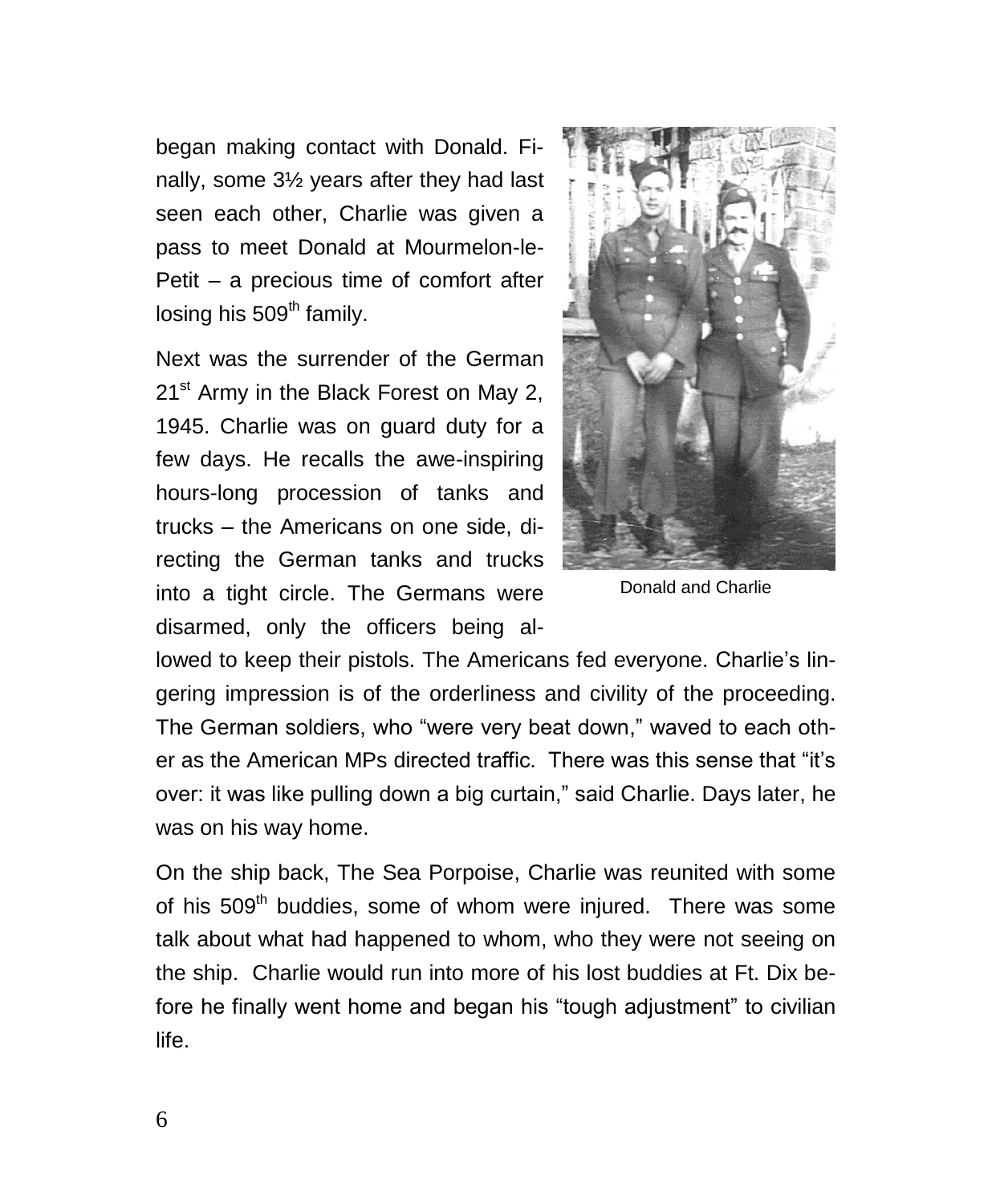began making contact with Donald. Finally, some 3½ years after they had last seen each other, Charlie was given a pass to meet Donald at Mourmelon-le-Petit – a precious time of comfort after  $\log$ ing his 509<sup>th</sup> family.

Next was the surrender of the German 21<sup>st</sup> Army in the Black Forest on May 2, 1945. Charlie was on guard duty for a few days. He recalls the awe-inspiring hours-long procession of tanks and trucks – the Americans on one side, directing the German tanks and trucks into a tight circle. The Germans were disarmed, only the officers being al-



Donald and Charlie

lowed to keep their pistols. The Americans fed everyone. Charlie's lingering impression is of the orderliness and civility of the proceeding. The German soldiers, who "were very beat down," waved to each other as the American MPs directed traffic. There was this sense that "it's over: it was like pulling down a big curtain," said Charlie. Days later, he was on his way home.

On the ship back, The Sea Porpoise, Charlie was reunited with some of his 509<sup>th</sup> buddies, some of whom were injured. There was some talk about what had happened to whom, who they were not seeing on the ship. Charlie would run into more of his lost buddies at Ft. Dix before he finally went home and began his "tough adjustment" to civilian life.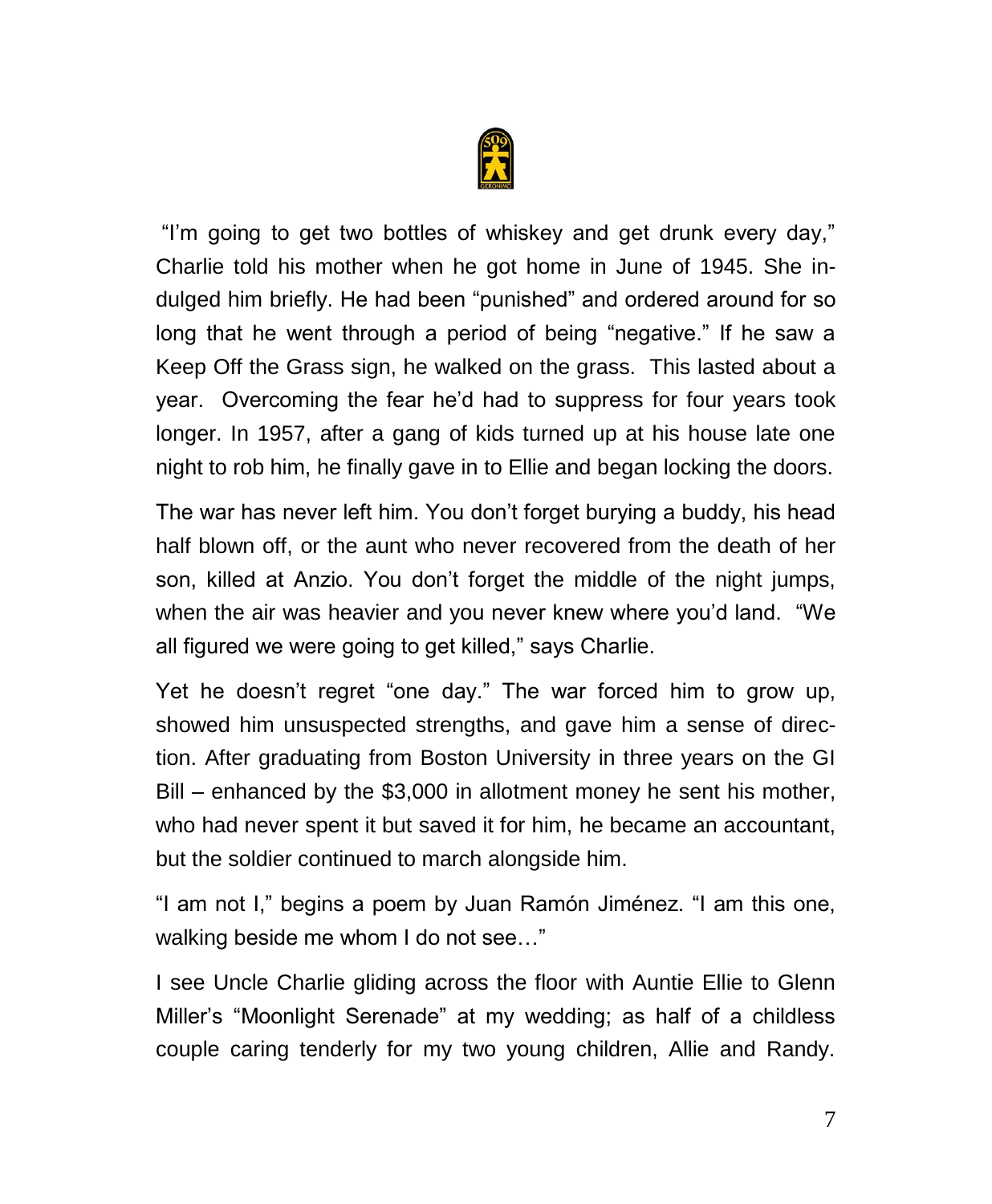

"I'm going to get two bottles of whiskey and get drunk every day," Charlie told his mother when he got home in June of 1945. She indulged him briefly. He had been "punished" and ordered around for so long that he went through a period of being "negative." If he saw a Keep Off the Grass sign, he walked on the grass. This lasted about a year. Overcoming the fear he'd had to suppress for four years took longer. In 1957, after a gang of kids turned up at his house late one night to rob him, he finally gave in to Ellie and began locking the doors.

The war has never left him. You don't forget burying a buddy, his head half blown off, or the aunt who never recovered from the death of her son, killed at Anzio. You don't forget the middle of the night jumps, when the air was heavier and you never knew where you'd land. "We all figured we were going to get killed," says Charlie.

Yet he doesn't regret "one day." The war forced him to grow up, showed him unsuspected strengths, and gave him a sense of direction. After graduating from Boston University in three years on the GI Bill – enhanced by the \$3,000 in allotment money he sent his mother, who had never spent it but saved it for him, he became an accountant, but the soldier continued to march alongside him.

"I am not I," begins a poem by Juan Ramón Jiménez. "I am this one, walking beside me whom I do not see..."

I see Uncle Charlie gliding across the floor with Auntie Ellie to Glenn Miller's "Moonlight Serenade" at my wedding; as half of a childless couple caring tenderly for my two young children, Allie and Randy.